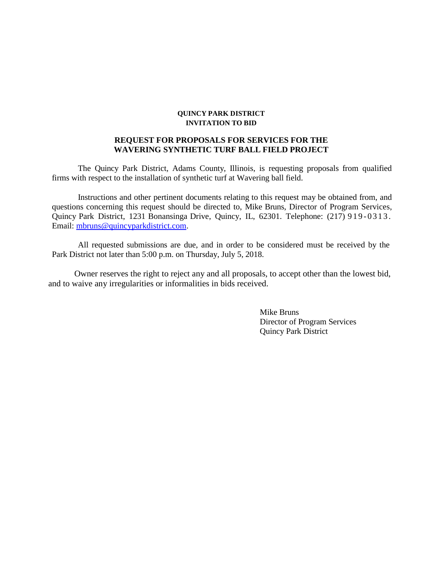#### **QUINCY PARK DISTRICT INVITATION TO BID**

#### **REQUEST FOR PROPOSALS FOR SERVICES FOR THE WAVERING SYNTHETIC TURF BALL FIELD PROJECT**

The Quincy Park District, Adams County, Illinois, is requesting proposals from qualified firms with respect to the installation of synthetic turf at Wavering ball field.

Instructions and other pertinent documents relating to this request may be obtained from, and questions concerning this request should be directed to, Mike Bruns, Director of Program Services, Quincy Park District, 1231 Bonansinga Drive, Quincy, IL, 62301. Telephone: (217) 919-0313. Email: [mbruns@quincyparkdistrict.com.](mailto:mbruns@quincyparkdistrict.com)

All requested submissions are due, and in order to be considered must be received by the Park District not later than 5:00 p.m. on Thursday, July 5, 2018.

Owner reserves the right to reject any and all proposals, to accept other than the lowest bid, and to waive any irregularities or informalities in bids received.

> Mike Bruns Director of Program Services Quincy Park District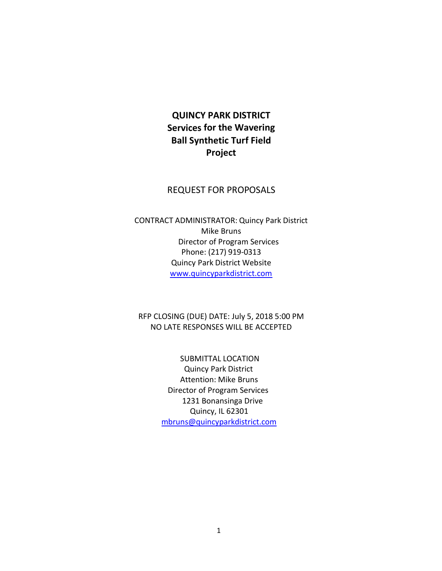# **QUINCY PARK DISTRICT Services for the Wavering Ball Synthetic Turf Field Project**

#### REQUEST FOR PROPOSALS

CONTRACT ADMINISTRATOR: Quincy Park District Mike Bruns Director of Program Services Phone: (217) 919-0313 Quincy Park District Website www.quincyparkdistrict.com

RFP CLOSING (DUE) DATE: July 5, 2018 5:00 PM NO LATE RESPONSES WILL BE ACCEPTED

> SUBMITTAL LOCATION Quincy Park District Attention: Mike Bruns Director of Program Services 1231 Bonansinga Drive Quincy, IL 62301 [mbruns@quincyparkdistrict.com](mailto:mbruns@quincyparkdistrict.com)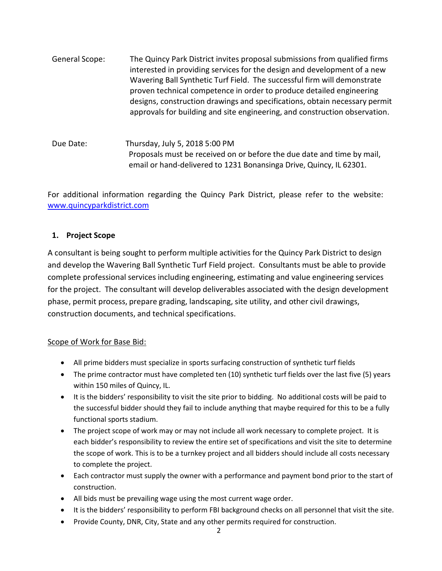| General Scope: | The Quincy Park District invites proposal submissions from qualified firms<br>interested in providing services for the design and development of a new<br>Wavering Ball Synthetic Turf Field. The successful firm will demonstrate<br>proven technical competence in order to produce detailed engineering<br>designs, construction drawings and specifications, obtain necessary permit |
|----------------|------------------------------------------------------------------------------------------------------------------------------------------------------------------------------------------------------------------------------------------------------------------------------------------------------------------------------------------------------------------------------------------|
|                | approvals for building and site engineering, and construction observation.                                                                                                                                                                                                                                                                                                               |
|                |                                                                                                                                                                                                                                                                                                                                                                                          |

Due Date: Thursday, July 5, 2018 5:00 PM Proposals must be received on or before the due date and time by mail, email or hand-delivered to 1231 Bonansinga Drive, Quincy, IL 62301.

For additional information regarding the Quincy Park District, please refer to the website: [www.quincyparkdistrict.com](http://www.quincyparkdistrict.com/)

# **1. Project Scope**

A consultant is being sought to perform multiple activities for the Quincy Park District to design and develop the Wavering Ball Synthetic Turf Field project. Consultants must be able to provide complete professional services including engineering, estimating and value engineering services for the project. The consultant will develop deliverables associated with the design development phase, permit process, prepare grading, landscaping, site utility, and other civil drawings, construction documents, and technical specifications.

# Scope of Work for Base Bid:

- All prime bidders must specialize in sports surfacing construction of synthetic turf fields
- The prime contractor must have completed ten (10) synthetic turf fields over the last five (5) years within 150 miles of Quincy, IL.
- It is the bidders' responsibility to visit the site prior to bidding. No additional costs will be paid to the successful bidder should they fail to include anything that maybe required for this to be a fully functional sports stadium.
- The project scope of work may or may not include all work necessary to complete project. It is each bidder's responsibility to review the entire set of specifications and visit the site to determine the scope of work. This is to be a turnkey project and all bidders should include all costs necessary to complete the project.
- Each contractor must supply the owner with a performance and payment bond prior to the start of construction.
- All bids must be prevailing wage using the most current wage order.
- It is the bidders' responsibility to perform FBI background checks on all personnel that visit the site.
- Provide County, DNR, City, State and any other permits required for construction.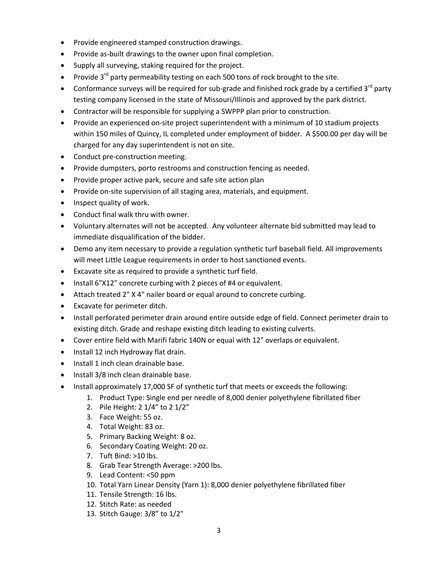- Provide engineered stamped construction drawings.
- Provide as-built drawings to the owner upon final completion.
- Supply all surveying, staking required for the project.
- Provide  $3^{rd}$  party permeability testing on each 500 tons of rock brought to the site.
- Conformance surveys will be required for sub-grade and finished rock grade by a certified  $3<sup>rd</sup>$  party testing company licensed in the state of Missouri/Illinois and approved by the park district.
- Contractor will be responsible for supplying a SWPPP plan prior to construction.
- Provide an experienced on-site project superintendent with a minimum of 10 stadium projects within 150 miles of Quincy, IL completed under employment of bidder. A \$500.00 per day will be charged for any day superintendent is not on site.
- Conduct pre-construction meeting.
- Provide dumpsters, porto restrooms and construction fencing as needed.
- Provide proper active park, secure and safe site action plan
- Provide on-site supervision of all staging area, materials, and equipment.
- $\bullet$  Inspect quality of work.
- Conduct final walk thru with owner.
- Voluntary alternates will not be accepted. Any volunteer alternate bid submitted may lead to immediate disqualification of the bidder.
- Demo any item necessary to provide a regulation synthetic turf baseball field. All improvements will meet Little League requirements in order to host sanctioned events.
- Excavate site as required to provide a synthetic turf field.
- Install 6"X12" concrete curbing with 2 pieces of #4 or equivalent.
- Attach treated 2" X 4" nailer board or equal around to concrete curbing.
- Excavate for perimeter ditch.
- Install perforated perimeter drain around entire outside edge of field. Connect perimeter drain to existing ditch. Grade and reshape existing ditch leading to existing culverts.
- Cover entire field with Marifi fabric 140N or equal with 12" overlaps or equivalent.
- Install 12 inch Hydroway flat drain.
- Install 1 inch clean drainable base.
- Install 3/8 inch clean drainable base.
- Install approximately 17,000 SF of synthetic turf that meets or exceeds the following:
	- 1. Product Type: Single end per needle of 8,000 denier polyethylene fibrillated fiber
	- 2. Pile Height: 2 1/4" to 2 1/2"
	- 3. Face Weight: 55 oz.
	- 4. Total Weight: 83 oz.
	- 5. Primary Backing Weight: 8 oz.
	- 6. Secondary Coating Weight: 20 oz.
	- 7. Tuft Bind: >10 lbs.
	- 8. Grab Tear Strength Average: >200 lbs.
	- 9. Lead Content: <50 ppm
	- 10. Total Yarn Linear Density (Yarn 1): 8,000 denier polyethylene fibrillated fiber
	- 11. Tensile Strength: 16 lbs.
	- 12. Stitch Rate: as needed
	- 13. Stitch Gauge: 3/8" to 1/2"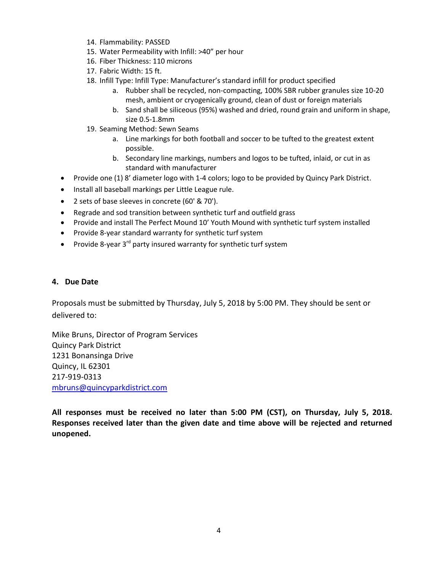- 14. Flammability: PASSED
- 15. Water Permeability with Infill: >40" per hour
- 16. Fiber Thickness: 110 microns
- 17. Fabric Width: 15 ft.
- 18. Infill Type: Infill Type: Manufacturer's standard infill for product specified
	- a. Rubber shall be recycled, non-compacting, 100% SBR rubber granules size 10-20 mesh, ambient or cryogenically ground, clean of dust or foreign materials
	- b. Sand shall be siliceous (95%) washed and dried, round grain and uniform in shape, size 0.5-1.8mm
- 19. Seaming Method: Sewn Seams
	- a. Line markings for both football and soccer to be tufted to the greatest extent possible.
	- b. Secondary line markings, numbers and logos to be tufted, inlaid, or cut in as standard with manufacturer
- Provide one (1) 8' diameter logo with 1-4 colors; logo to be provided by Quincy Park District.
- Install all baseball markings per Little League rule.
- 2 sets of base sleeves in concrete (60' & 70').
- Regrade and sod transition between synthetic turf and outfield grass
- Provide and install The Perfect Mound 10' Youth Mound with synthetic turf system installed
- Provide 8-year standard warranty for synthetic turf system
- Provide 8-year  $3^{rd}$  party insured warranty for synthetic turf system

#### **4. Due Date**

Proposals must be submitted by Thursday, July 5, 2018 by 5:00 PM. They should be sent or delivered to:

Mike Bruns, Director of Program Services Quincy Park District 1231 Bonansinga Drive Quincy, IL 62301 217-919-0313 [mbruns@quincyparkdistrict.com](mailto:mbruns@quincyparkdistrict.com)

**All responses must be received no later than 5:00 PM (CST), on Thursday, July 5, 2018. Responses received later than the given date and time above will be rejected and returned unopened.**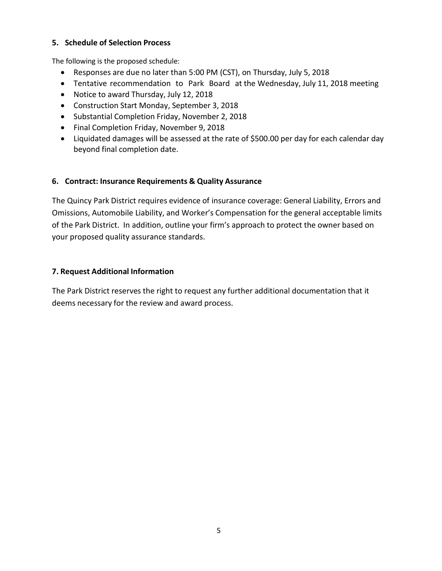#### **5. Schedule of Selection Process**

The following is the proposed schedule:

- Responses are due no later than 5:00 PM (CST), on Thursday, July 5, 2018
- Tentative recommendation to Park Board at the Wednesday, July 11, 2018 meeting
- Notice to award Thursday, July 12, 2018
- Construction Start Monday, September 3, 2018
- Substantial Completion Friday, November 2, 2018
- Final Completion Friday, November 9, 2018
- Liquidated damages will be assessed at the rate of \$500.00 per day for each calendar day beyond final completion date.

# **6. Contract: Insurance Requirements & Quality Assurance**

The Quincy Park District requires evidence of insurance coverage: General Liability, Errors and Omissions, Automobile Liability, and Worker's Compensation for the general acceptable limits of the Park District. In addition, outline your firm's approach to protect the owner based on your proposed quality assurance standards.

# **7. Request Additional Information**

The Park District reserves the right to request any further additional documentation that it deems necessary for the review and award process.